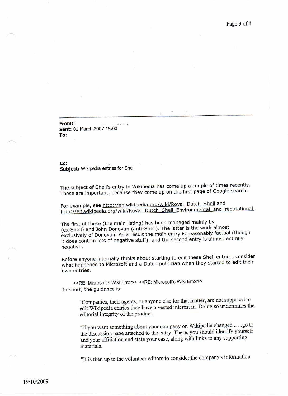**From: . Sent:** 01 March 2007 15:00 **To:**

**Cc: . Subject:** Wikipedia entries for Shell

The subject of Shell's entry in Wikipedia has come up a couple of times recently. These are important, because they come up on the first page of Google search.

For example, see <http://en.wikipedia.org/wiki/Royal> Dutch Shell and <http://en.wikipedia.org/wiki/Royal> Dutch Shell Environmental and reputational

The first of these (the main listing) has been managed mainly by (ex Shell) and John Donovan (anti-Shell). The latter is the work almost exclusively of Donovan. As a result the main entry is reasonably factual (though it does contain lots of negative stuff), and the second entry is almost entirely negative.

Before anyone internally thinks about starting to edit these Shell entries, consider what happened to Microsoft and a Dutch politician when they started to edit their own entries.

<<RE: Microsoft's Wiki Error>> <<RE: Microsoft's Wiki Error>> In short, the guidance is:

> "Companies, their agents, or anyone else for that matter, are not supposed to edit Wikipedia entries they have a vested interest in. Doing so undermines the editorial integrity of the product.

> "If you want something about your company on Wikipedia changed ..... go to the discussion page attached to the entry. There, you should identify yourself and your affiliation and state your case, along with links to any supporting materials.

"It is then up to the volunteer editors to consider the company's information

-- ---------